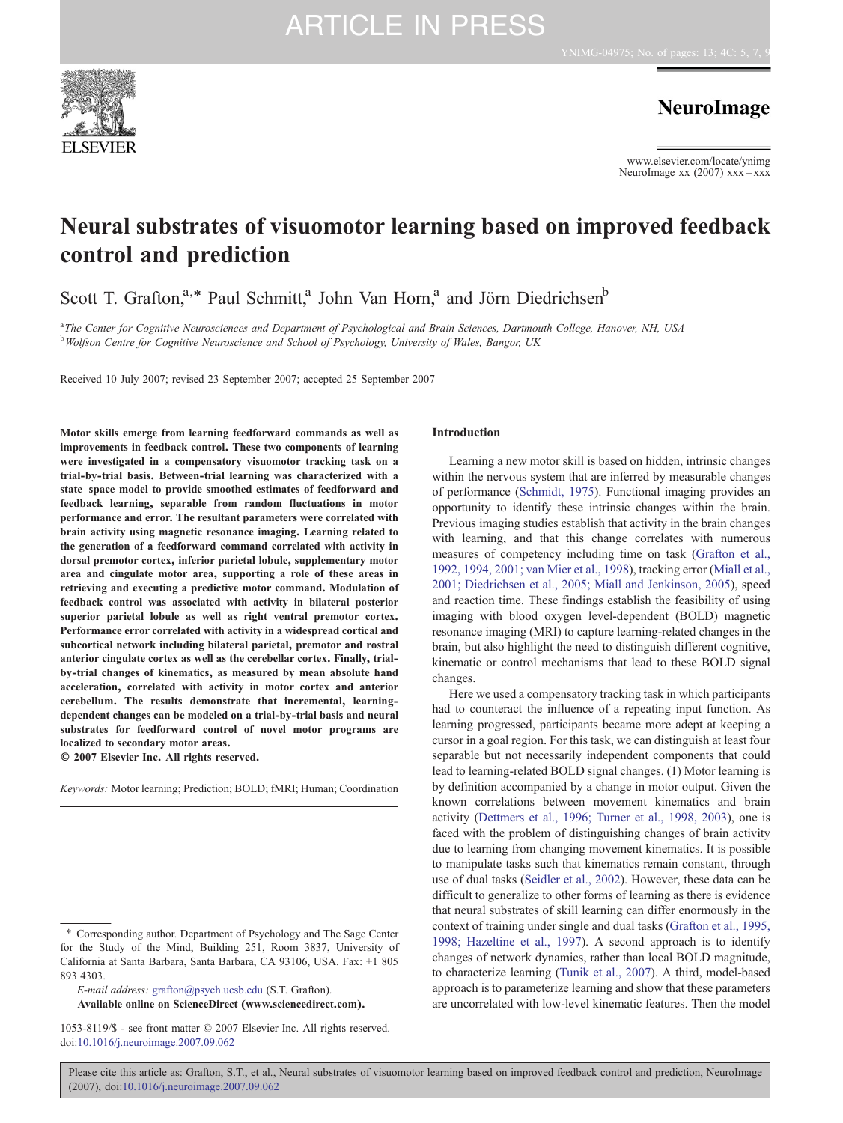

**NeuroImage** 

www.elsevier.com/locate/ynimg NeuroImage xx  $(2007)$  xxx – xxx

### Neural substrates of visuomotor learning based on improved feedback control and prediction

Scott T. Grafton, $a^*$  Paul Schmitt, $a^*$  John Van Horn, $a^*$  and Jörn Diedrichsen

a The Center for Cognitive Neurosciences and Department of Psychological and Brain Sciences, Dartmouth College, Hanover, NH, USA <sup>b</sup> Wolfson Centre for Cognitive Neuroscience and School of Psychology, University of Wales, Bangor, UK

Received 10 July 2007; revised 23 September 2007; accepted 25 September 2007

Motor skills emerge from learning feedforward commands as well as improvements in feedback control. These two components of learning were investigated in a compensatory visuomotor tracking task on a trial-by-trial basis. Between-trial learning was characterized with a state–space model to provide smoothed estimates of feedforward and feedback learning, separable from random fluctuations in motor performance and error. The resultant parameters were correlated with brain activity using magnetic resonance imaging. Learning related to the generation of a feedforward command correlated with activity in dorsal premotor cortex, inferior parietal lobule, supplementary motor area and cingulate motor area, supporting a role of these areas in retrieving and executing a predictive motor command. Modulation of feedback control was associated with activity in bilateral posterior superior parietal lobule as well as right ventral premotor cortex. Performance error correlated with activity in a widespread cortical and subcortical network including bilateral parietal, premotor and rostral anterior cingulate cortex as well as the cerebellar cortex. Finally, trialby-trial changes of kinematics, as measured by mean absolute hand acceleration, correlated with activity in motor cortex and anterior cerebellum. The results demonstrate that incremental, learningdependent changes can be modeled on a trial-by-trial basis and neural substrates for feedforward control of novel motor programs are localized to secondary motor areas.

© 2007 Elsevier Inc. All rights reserved.

Keywords: Motor learning; Prediction; BOLD; fMRI; Human; Coordination

E-mail address: [grafton@psych.ucsb.edu](mailto:grafton@psych.ucsb.edu) (S.T. Grafton). Available online on ScienceDirect (www.sciencedirect.com).

#### Introduction

Learning a new motor skill is based on hidden, intrinsic changes within the nervous system that are inferred by measurable changes of performance [\(Schmidt, 1975](#page-12-0)). Functional imaging provides an opportunity to identify these intrinsic changes within the brain. Previous imaging studies establish that activity in the brain changes with learning, and that this change correlates with numerous measures of competency including time on task ([Grafton et al.,](#page-11-0) [1992, 1994, 2001; van Mier et al., 1998\)](#page-11-0), tracking error [\(Miall et al.,](#page-11-0) [2001; Diedrichsen et al., 2005; Miall and Jenkinson, 2005](#page-11-0)), speed and reaction time. These findings establish the feasibility of using imaging with blood oxygen level-dependent (BOLD) magnetic resonance imaging (MRI) to capture learning-related changes in the brain, but also highlight the need to distinguish different cognitive, kinematic or control mechanisms that lead to these BOLD signal changes.

Here we used a compensatory tracking task in which participants had to counteract the influence of a repeating input function. As learning progressed, participants became more adept at keeping a cursor in a goal region. For this task, we can distinguish at least four separable but not necessarily independent components that could lead to learning-related BOLD signal changes. (1) Motor learning is by definition accompanied by a change in motor output. Given the known correlations between movement kinematics and brain activity [\(Dettmers et al., 1996; Turner et al., 1998, 2003\)](#page-10-0), one is faced with the problem of distinguishing changes of brain activity due to learning from changing movement kinematics. It is possible to manipulate tasks such that kinematics remain constant, through use of dual tasks ([Seidler et al., 2002\)](#page-12-0). However, these data can be difficult to generalize to other forms of learning as there is evidence that neural substrates of skill learning can differ enormously in the context of training under single and dual tasks [\(Grafton et al., 1995,](#page-11-0) [1998; Hazeltine et al., 1997](#page-11-0)). A second approach is to identify changes of network dynamics, rather than local BOLD magnitude, to characterize learning [\(Tunik et al., 2007](#page-12-0)). A third, model-based approach is to parameterize learning and show that these parameters are uncorrelated with low-level kinematic features. Then the model

<sup>⁎</sup> Corresponding author. Department of Psychology and The Sage Center for the Study of the Mind, Building 251, Room 3837, University of California at Santa Barbara, Santa Barbara, CA 93106, USA. Fax: +1 805 893 4303.

<sup>1053-8119/\$ -</sup> see front matter © 2007 Elsevier Inc. All rights reserved. doi:[10.1016/j.neuroimage.2007.09.062](http://dx.doi.org/10.1016/j.neuroimage.2007.09.062)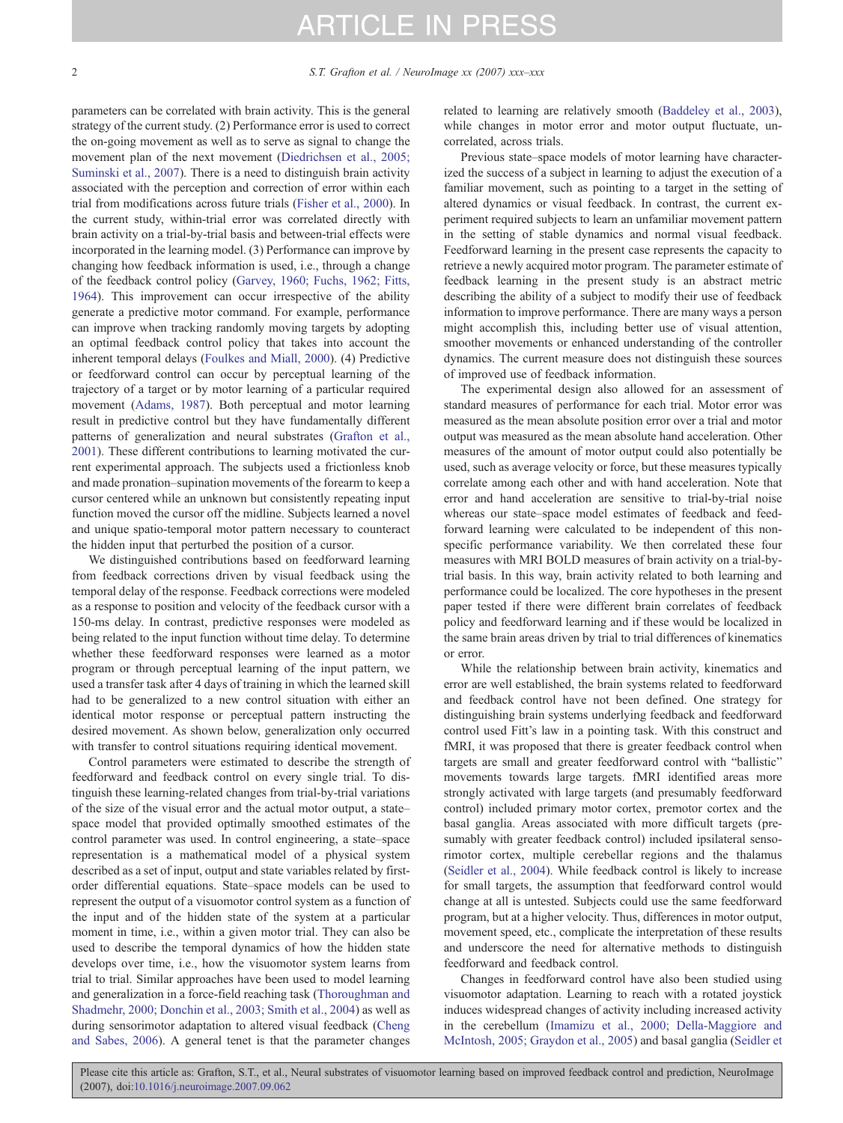parameters can be correlated with brain activity. This is the general strategy of the current study. (2) Performance error is used to correct the on-going movement as well as to serve as signal to change the movement plan of the next movement ([Diedrichsen et al., 2005;](#page-11-0) [Suminski et al., 2007\)](#page-11-0). There is a need to distinguish brain activity associated with the perception and correction of error within each trial from modifications across future trials ([Fisher et al., 2000\)](#page-11-0). In the current study, within-trial error was correlated directly with brain activity on a trial-by-trial basis and between-trial effects were incorporated in the learning model. (3) Performance can improve by changing how feedback information is used, i.e., through a change of the feedback control policy [\(Garvey, 1960; Fuchs, 1962; Fitts,](#page-11-0) [1964\)](#page-11-0). This improvement can occur irrespective of the ability generate a predictive motor command. For example, performance can improve when tracking randomly moving targets by adopting an optimal feedback control policy that takes into account the inherent temporal delays ([Foulkes and Miall, 2000](#page-11-0)). (4) Predictive or feedforward control can occur by perceptual learning of the trajectory of a target or by motor learning of a particular required movement ([Adams, 1987](#page-10-0)). Both perceptual and motor learning result in predictive control but they have fundamentally different patterns of generalization and neural substrates [\(Grafton et al.,](#page-11-0) [2001\)](#page-11-0). These different contributions to learning motivated the current experimental approach. The subjects used a frictionless knob and made pronation–supination movements of the forearm to keep a cursor centered while an unknown but consistently repeating input function moved the cursor off the midline. Subjects learned a novel and unique spatio-temporal motor pattern necessary to counteract the hidden input that perturbed the position of a cursor.

We distinguished contributions based on feedforward learning from feedback corrections driven by visual feedback using the temporal delay of the response. Feedback corrections were modeled as a response to position and velocity of the feedback cursor with a 150-ms delay. In contrast, predictive responses were modeled as being related to the input function without time delay. To determine whether these feedforward responses were learned as a motor program or through perceptual learning of the input pattern, we used a transfer task after 4 days of training in which the learned skill had to be generalized to a new control situation with either an identical motor response or perceptual pattern instructing the desired movement. As shown below, generalization only occurred with transfer to control situations requiring identical movement.

Control parameters were estimated to describe the strength of feedforward and feedback control on every single trial. To distinguish these learning-related changes from trial-by-trial variations of the size of the visual error and the actual motor output, a state– space model that provided optimally smoothed estimates of the control parameter was used. In control engineering, a state–space representation is a mathematical model of a physical system described as a set of input, output and state variables related by firstorder differential equations. State–space models can be used to represent the output of a visuomotor control system as a function of the input and of the hidden state of the system at a particular moment in time, i.e., within a given motor trial. They can also be used to describe the temporal dynamics of how the hidden state develops over time, i.e., how the visuomotor system learns from trial to trial. Similar approaches have been used to model learning and generalization in a force-field reaching task [\(Thoroughman and](#page-12-0) [Shadmehr, 2000; Donchin et al., 2003; Smith et al., 2004](#page-12-0)) as well as during sensorimotor adaptation to altered visual feedback [\(Cheng](#page-10-0) [and Sabes, 2006\)](#page-10-0). A general tenet is that the parameter changes

related to learning are relatively smooth [\(Baddeley et al., 2003\)](#page-10-0), while changes in motor error and motor output fluctuate, uncorrelated, across trials.

Previous state–space models of motor learning have characterized the success of a subject in learning to adjust the execution of a familiar movement, such as pointing to a target in the setting of altered dynamics or visual feedback. In contrast, the current experiment required subjects to learn an unfamiliar movement pattern in the setting of stable dynamics and normal visual feedback. Feedforward learning in the present case represents the capacity to retrieve a newly acquired motor program. The parameter estimate of feedback learning in the present study is an abstract metric describing the ability of a subject to modify their use of feedback information to improve performance. There are many ways a person might accomplish this, including better use of visual attention, smoother movements or enhanced understanding of the controller dynamics. The current measure does not distinguish these sources of improved use of feedback information.

The experimental design also allowed for an assessment of standard measures of performance for each trial. Motor error was measured as the mean absolute position error over a trial and motor output was measured as the mean absolute hand acceleration. Other measures of the amount of motor output could also potentially be used, such as average velocity or force, but these measures typically correlate among each other and with hand acceleration. Note that error and hand acceleration are sensitive to trial-by-trial noise whereas our state–space model estimates of feedback and feedforward learning were calculated to be independent of this nonspecific performance variability. We then correlated these four measures with MRI BOLD measures of brain activity on a trial-bytrial basis. In this way, brain activity related to both learning and performance could be localized. The core hypotheses in the present paper tested if there were different brain correlates of feedback policy and feedforward learning and if these would be localized in the same brain areas driven by trial to trial differences of kinematics or error.

While the relationship between brain activity, kinematics and error are well established, the brain systems related to feedforward and feedback control have not been defined. One strategy for distinguishing brain systems underlying feedback and feedforward control used Fitt's law in a pointing task. With this construct and fMRI, it was proposed that there is greater feedback control when targets are small and greater feedforward control with "ballistic" movements towards large targets. fMRI identified areas more strongly activated with large targets (and presumably feedforward control) included primary motor cortex, premotor cortex and the basal ganglia. Areas associated with more difficult targets (presumably with greater feedback control) included ipsilateral sensorimotor cortex, multiple cerebellar regions and the thalamus ([Seidler et al., 2004\)](#page-12-0). While feedback control is likely to increase for small targets, the assumption that feedforward control would change at all is untested. Subjects could use the same feedforward program, but at a higher velocity. Thus, differences in motor output, movement speed, etc., complicate the interpretation of these results and underscore the need for alternative methods to distinguish feedforward and feedback control.

Changes in feedforward control have also been studied using visuomotor adaptation. Learning to reach with a rotated joystick induces widespread changes of activity including increased activity in the cerebellum ([Imamizu et al., 2000; Della-Maggiore and](#page-11-0) [McIntosh, 2005; Graydon et al., 2005\)](#page-11-0) and basal ganglia [\(Seidler et](#page-12-0)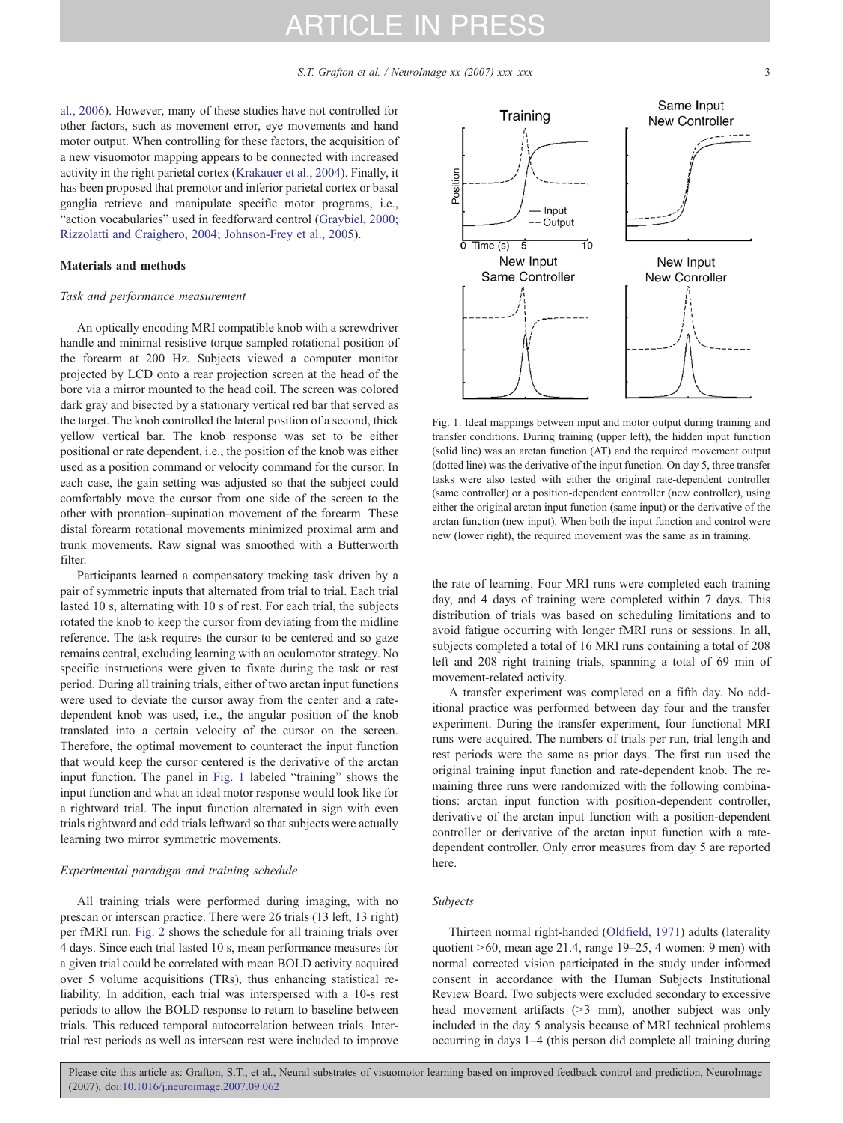### <span id="page-2-0"></span>[al., 2006\)](#page-12-0). However, many of these studies have not controlled for other factors, such as movement error, eye movements and hand motor output. When controlling for these factors, the acquisition of a new visuomotor mapping appears to be connected with increased activity in the right parietal cortex ([Krakauer et al., 2004\)](#page-11-0). Finally, it has been proposed that premotor and inferior parietal cortex or basal ganglia retrieve and manipulate specific motor programs, i.e., "action vocabularies" used in feedforward control ([Graybiel, 2000;](#page-11-0) [Rizzolatti and Craighero, 2004; Johnson-Frey et al., 2005](#page-11-0)).

#### Materials and methods

#### Task and performance measurement

An optically encoding MRI compatible knob with a screwdriver handle and minimal resistive torque sampled rotational position of the forearm at 200 Hz. Subjects viewed a computer monitor projected by LCD onto a rear projection screen at the head of the bore via a mirror mounted to the head coil. The screen was colored dark gray and bisected by a stationary vertical red bar that served as the target. The knob controlled the lateral position of a second, thick yellow vertical bar. The knob response was set to be either positional or rate dependent, i.e., the position of the knob was either used as a position command or velocity command for the cursor. In each case, the gain setting was adjusted so that the subject could comfortably move the cursor from one side of the screen to the other with pronation–supination movement of the forearm. These distal forearm rotational movements minimized proximal arm and trunk movements. Raw signal was smoothed with a Butterworth filter.

Participants learned a compensatory tracking task driven by a pair of symmetric inputs that alternated from trial to trial. Each trial lasted 10 s, alternating with 10 s of rest. For each trial, the subjects rotated the knob to keep the cursor from deviating from the midline reference. The task requires the cursor to be centered and so gaze remains central, excluding learning with an oculomotor strategy. No specific instructions were given to fixate during the task or rest period. During all training trials, either of two arctan input functions were used to deviate the cursor away from the center and a ratedependent knob was used, i.e., the angular position of the knob translated into a certain velocity of the cursor on the screen. Therefore, the optimal movement to counteract the input function that would keep the cursor centered is the derivative of the arctan input function. The panel in Fig. 1 labeled "training" shows the input function and what an ideal motor response would look like for a rightward trial. The input function alternated in sign with even trials rightward and odd trials leftward so that subjects were actually learning two mirror symmetric movements.

#### Experimental paradigm and training schedule

All training trials were performed during imaging, with no prescan or interscan practice. There were 26 trials (13 left, 13 right) per fMRI run. [Fig. 2](#page-3-0) shows the schedule for all training trials over 4 days. Since each trial lasted 10 s, mean performance measures for a given trial could be correlated with mean BOLD activity acquired over 5 volume acquisitions (TRs), thus enhancing statistical reliability. In addition, each trial was interspersed with a 10-s rest periods to allow the BOLD response to return to baseline between trials. This reduced temporal autocorrelation between trials. Intertrial rest periods as well as interscan rest were included to improve

Fig. 1. Ideal mappings between input and motor output during training and transfer conditions. During training (upper left), the hidden input function (solid line) was an arctan function (AT) and the required movement output (dotted line) was the derivative of the input function. On day 5, three transfer tasks were also tested with either the original rate-dependent controller (same controller) or a position-dependent controller (new controller), using either the original arctan input function (same input) or the derivative of the arctan function (new input). When both the input function and control were

the rate of learning. Four MRI runs were completed each training day, and 4 days of training were completed within 7 days. This distribution of trials was based on scheduling limitations and to avoid fatigue occurring with longer fMRI runs or sessions. In all, subjects completed a total of 16 MRI runs containing a total of 208 left and 208 right training trials, spanning a total of 69 min of movement-related activity.

new (lower right), the required movement was the same as in training.

A transfer experiment was completed on a fifth day. No additional practice was performed between day four and the transfer experiment. During the transfer experiment, four functional MRI runs were acquired. The numbers of trials per run, trial length and rest periods were the same as prior days. The first run used the original training input function and rate-dependent knob. The remaining three runs were randomized with the following combinations: arctan input function with position-dependent controller, derivative of the arctan input function with a position-dependent controller or derivative of the arctan input function with a ratedependent controller. Only error measures from day 5 are reported here.

#### Subjects

Thirteen normal right-handed ([Oldfield, 1971\)](#page-11-0) adults (laterality quotient  $>60$ , mean age 21.4, range 19–25, 4 women: 9 men) with normal corrected vision participated in the study under informed consent in accordance with the Human Subjects Institutional Review Board. Two subjects were excluded secondary to excessive head movement artifacts  $(>3$  mm), another subject was only included in the day 5 analysis because of MRI technical problems occurring in days 1–4 (this person did complete all training during

Please cite this article as: Grafton, S.T., et al., Neural substrates of visuomotor learning based on improved feedback control and prediction, NeuroImage (2007), doi[:10.1016/j.neuroimage.2007.09.062](http://dx.doi.org/10.1016/j.neuroimage.2007.09.062)

Position

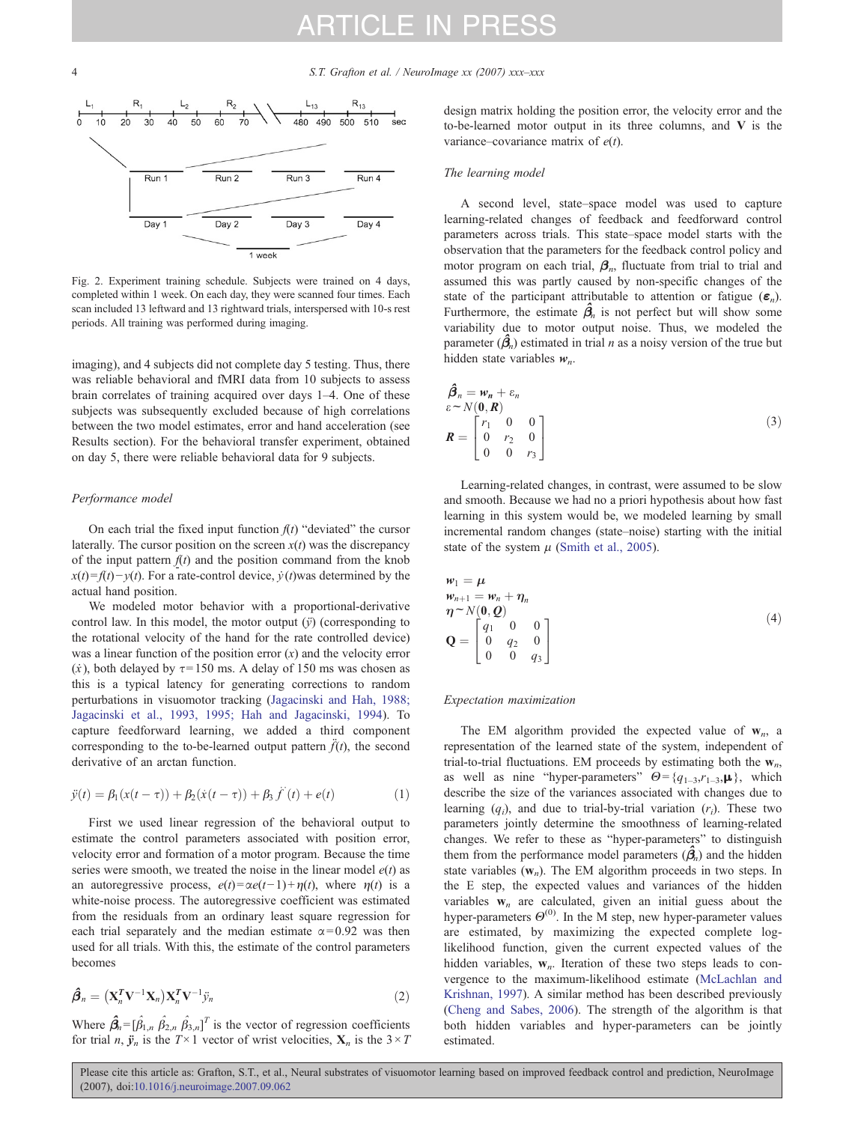

Fig. 2. Experiment training schedule. Subjects were trained on 4 days, completed within 1 week. On each day, they were scanned four times. Each scan included 13 leftward and 13 rightward trials, interspersed with 10-s rest periods. All training was performed during imaging.

imaging), and 4 subjects did not complete day 5 testing. Thus, there was reliable behavioral and fMRI data from 10 subjects to assess brain correlates of training acquired over days 1–4. One of these subjects was subsequently excluded because of high correlations between the two model estimates, error and hand acceleration (see Results section). For the behavioral transfer experiment, obtained on day 5, there were reliable behavioral data for 9 subjects.

#### Performance model

On each trial the fixed input function  $f(t)$  "deviated" the cursor laterally. The cursor position on the screen  $x(t)$  was the discrepancy of the input pattern  $f(t)$  and the position command from the knob  $x(t) = f(t) - y(t)$ . For a rate-control device,  $\dot{y}(t)$  was determined by the actual hand position.

We modeled motor behavior with a proportional-derivative control law. In this model, the motor output  $(\ddot{y})$  (corresponding to the rotational velocity of the hand for the rate controlled device) was a linear function of the position error  $(x)$  and the velocity error ( $\dot{x}$ ), both delayed by  $\tau$ = 150 ms. A delay of 150 ms was chosen as this is a typical latency for generating corrections to random perturbations in visuomotor tracking ([Jagacinski and Hah, 1988;](#page-11-0) [Jagacinski et al., 1993, 1995; Hah and Jagacinski, 1994](#page-11-0)). To capture feedforward learning, we added a third component corresponding to the to-be-learned output pattern  $\ddot{f}(t)$ , the second derivative of an arctan function.

$$
\ddot{y}(t) = \beta_1(x(t-\tau)) + \beta_2(\dot{x}(t-\tau)) + \beta_3 \ddot{f}(t) + e(t)
$$
\n(1)

First we used linear regression of the behavioral output to estimate the control parameters associated with position error, velocity error and formation of a motor program. Because the time series were smooth, we treated the noise in the linear model  $e(t)$  as an autoregressive process,  $e(t) = \alpha e(t-1) + \eta(t)$ , where  $\eta(t)$  is a white-noise process. The autoregressive coefficient was estimated from the residuals from an ordinary least square regression for each trial separately and the median estimate  $\alpha = 0.92$  was then used for all trials. With this, the estimate of the control parameters becomes

$$
\hat{\boldsymbol{\beta}}_n = (\mathbf{X}_n^T \mathbf{V}^{-1} \mathbf{X}_n) \mathbf{X}_n^T \mathbf{V}^{-1} \ddot{\mathbf{y}}_n \tag{2}
$$

Where  $\hat{\beta}_n = [\hat{\beta}_{1,n} \ \hat{\beta}_{2,n} \ \hat{\beta}_{3,n}]^T$  is the vector of regression coefficients for trial *n*,  $\ddot{y}_n$  is the  $T \times 1$  vector of wrist velocities,  $X_n$  is the  $3 \times T$  design matrix holding the position error, the velocity error and the to-be-learned motor output in its three columns, and V is the variance–covariance matrix of  $e(t)$ .

### The learning model

A second level, state–space model was used to capture learning-related changes of feedback and feedforward control parameters across trials. This state–space model starts with the observation that the parameters for the feedback control policy and motor program on each trial,  $\mathcal{B}_n$ , fluctuate from trial to trial and assumed this was partly caused by non-specific changes of the state of the participant attributable to attention or fatigue  $(\epsilon_n)$ . Furthermore, the estimate  $\hat{\beta}_n$  is not perfect but will show some variability due to motor output noise. Thus, we modeled the parameter  $(\hat{\beta}_n)$  estimated in trial *n* as a noisy version of the true but hidden state variables  $w_n$ .

$$
\hat{\beta}_n = w_n + \varepsilon_n
$$
\n
$$
\varepsilon \sim N(\mathbf{0}, \mathbf{R})
$$
\n
$$
\mathbf{R} = \begin{bmatrix} r_1 & 0 & 0 \\ 0 & r_2 & 0 \\ 0 & 0 & r_3 \end{bmatrix}
$$
\n
$$
(3)
$$

Learning-related changes, in contrast, were assumed to be slow and smooth. Because we had no a priori hypothesis about how fast learning in this system would be, we modeled learning by small incremental random changes (state–noise) starting with the initial state of the system  $\mu$  ([Smith et al., 2005](#page-12-0)).

$$
\begin{aligned}\n\boldsymbol{w}_1 &= \boldsymbol{\mu} \\
\boldsymbol{w}_{n+1} &= \boldsymbol{w}_n + \boldsymbol{\eta}_n \\
\boldsymbol{\eta} &\sim N(\mathbf{0}, \mathbf{Q}) \\
\mathbf{Q} &= \begin{bmatrix} q_1 & 0 & 0 \\ 0 & q_2 & 0 \\ 0 & 0 & q_3 \end{bmatrix}\n\end{aligned} (4)
$$

#### Expectation maximization

The EM algorithm provided the expected value of  $w_n$ , a representation of the learned state of the system, independent of trial-to-trial fluctuations. EM proceeds by estimating both the  $w_n$ , as well as nine "hyper-parameters"  $\Theta = \{q_{1-3}, r_{1-3}, \mu\}$ , which describe the size of the variances associated with changes due to learning  $(q_i)$ , and due to trial-by-trial variation  $(r_i)$ . These two parameters jointly determine the smoothness of learning-related changes. We refer to these as "hyper-parameters" to distinguish them from the performance model parameters  $(\hat{\beta}_n)$  and the hidden state variables  $(w_n)$ . The EM algorithm proceeds in two steps. In the E step, the expected values and variances of the hidden variables  $w_n$  are calculated, given an initial guess about the hyper-parameters  $\Theta^{(0)}$ . In the M step, new hyper-parameter values are estimated, by maximizing the expected complete loglikelihood function, given the current expected values of the hidden variables,  $w_n$ . Iteration of these two steps leads to convergence to the maximum-likelihood estimate ([McLachlan and](#page-11-0) [Krishnan, 1997](#page-11-0)). A similar method has been described previously ([Cheng and Sabes, 2006\)](#page-10-0). The strength of the algorithm is that both hidden variables and hyper-parameters can be jointly estimated.

<span id="page-3-0"></span>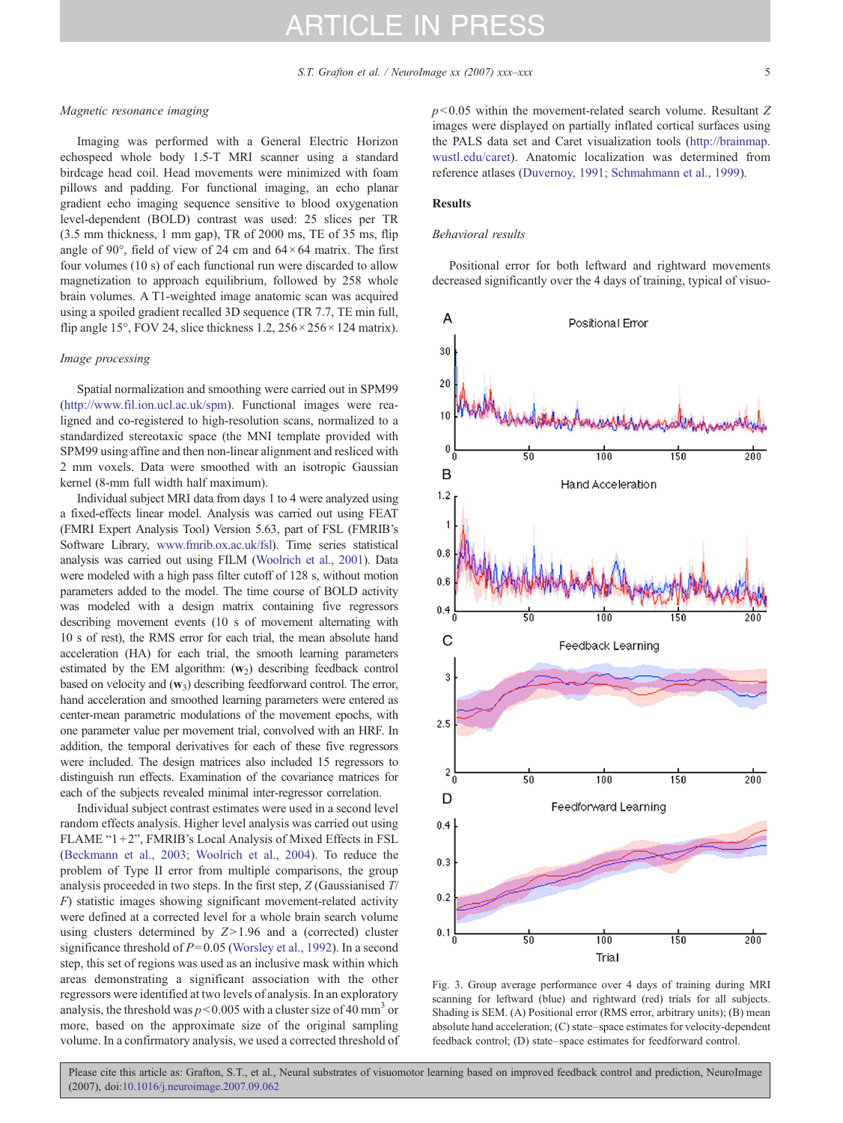#### <span id="page-4-0"></span>Magnetic resonance imaging

Imaging was performed with a General Electric Horizon echospeed whole body 1.5-T MRI scanner using a standard birdcage head coil. Head movements were minimized with foam pillows and padding. For functional imaging, an echo planar gradient echo imaging sequence sensitive to blood oxygenation level-dependent (BOLD) contrast was used: 25 slices per TR (3.5 mm thickness, 1 mm gap), TR of 2000 ms, TE of 35 ms, flip angle of 90 $^{\circ}$ , field of view of 24 cm and 64 $\times$ 64 matrix. The first four volumes (10 s) of each functional run were discarded to allow magnetization to approach equilibrium, followed by 258 whole brain volumes. A T1-weighted image anatomic scan was acquired using a spoiled gradient recalled 3D sequence (TR 7.7, TE min full, flip angle 15°, FOV 24, slice thickness 1.2,  $256 \times 256 \times 124$  matrix).

#### Image processing

Spatial normalization and smoothing were carried out in SPM99 [\(http://www.fil.ion.ucl.ac.uk/spm\)](http://www.fil.ion.ucl.ac.uk/spm). Functional images were realigned and co-registered to high-resolution scans, normalized to a standardized stereotaxic space (the MNI template provided with SPM99 using affine and then non-linear alignment and resliced with 2 mm voxels. Data were smoothed with an isotropic Gaussian kernel (8-mm full width half maximum).

Individual subject MRI data from days 1 to 4 were analyzed using a fixed-effects linear model. Analysis was carried out using FEAT (FMRI Expert Analysis Tool) Version 5.63, part of FSL (FMRIB's Software Library, [www.fmrib.ox.ac.uk/fsl](http://www.fmrib.ox.ac.uk/fsl)). Time series statistical analysis was carried out using FILM ([Woolrich et al., 2001\)](#page-12-0). Data were modeled with a high pass filter cutoff of 128 s, without motion parameters added to the model. The time course of BOLD activity was modeled with a design matrix containing five regressors describing movement events (10 s of movement alternating with 10 s of rest), the RMS error for each trial, the mean absolute hand acceleration (HA) for each trial, the smooth learning parameters estimated by the EM algorithm:  $(w_2)$  describing feedback control based on velocity and  $(w_3)$  describing feedforward control. The error, hand acceleration and smoothed learning parameters were entered as center-mean parametric modulations of the movement epochs, with one parameter value per movement trial, convolved with an HRF. In addition, the temporal derivatives for each of these five regressors were included. The design matrices also included 15 regressors to distinguish run effects. Examination of the covariance matrices for each of the subjects revealed minimal inter-regressor correlation.

Individual subject contrast estimates were used in a second level random effects analysis. Higher level analysis was carried out using FLAME "1+2", FMRIB's Local Analysis of Mixed Effects in FSL [\(Beckmann et al., 2003; Woolrich et al., 2004\)](#page-10-0). To reduce the problem of Type II error from multiple comparisons, the group analysis proceeded in two steps. In the first step,  $Z$  (Gaussianised  $T/$ F) statistic images showing significant movement-related activity were defined at a corrected level for a whole brain search volume using clusters determined by  $Z > 1.96$  and a (corrected) cluster significance threshold of  $P = 0.05$  [\(Worsley et al., 1992\)](#page-12-0). In a second step, this set of regions was used as an inclusive mask within which areas demonstrating a significant association with the other regressors were identified at two levels of analysis. In an exploratory analysis, the threshold was  $p<0.005$  with a cluster size of 40 mm<sup>3</sup> or more, based on the approximate size of the original sampling volume. In a confirmatory analysis, we used a corrected threshold of  $p<0.05$  within the movement-related search volume. Resultant Z images were displayed on partially inflated cortical surfaces using the PALS data set and Caret visualization tools ([http://brainmap.](http://brainmap.wustl.edu/caret) [wustl.edu/caret\)](http://brainmap.wustl.edu/caret). Anatomic localization was determined from reference atlases ([Duvernoy, 1991; Schmahmann et al., 1999\)](#page-11-0).

#### Results

#### Behavioral results

Positional error for both leftward and rightward movements decreased significantly over the 4 days of training, typical of visuo-



Fig. 3. Group average performance over 4 days of training during MRI scanning for leftward (blue) and rightward (red) trials for all subjects. Shading is SEM. (A) Positional error (RMS error, arbitrary units); (B) mean absolute hand acceleration; (C) state–space estimates for velocity-dependent feedback control; (D) state–space estimates for feedforward control.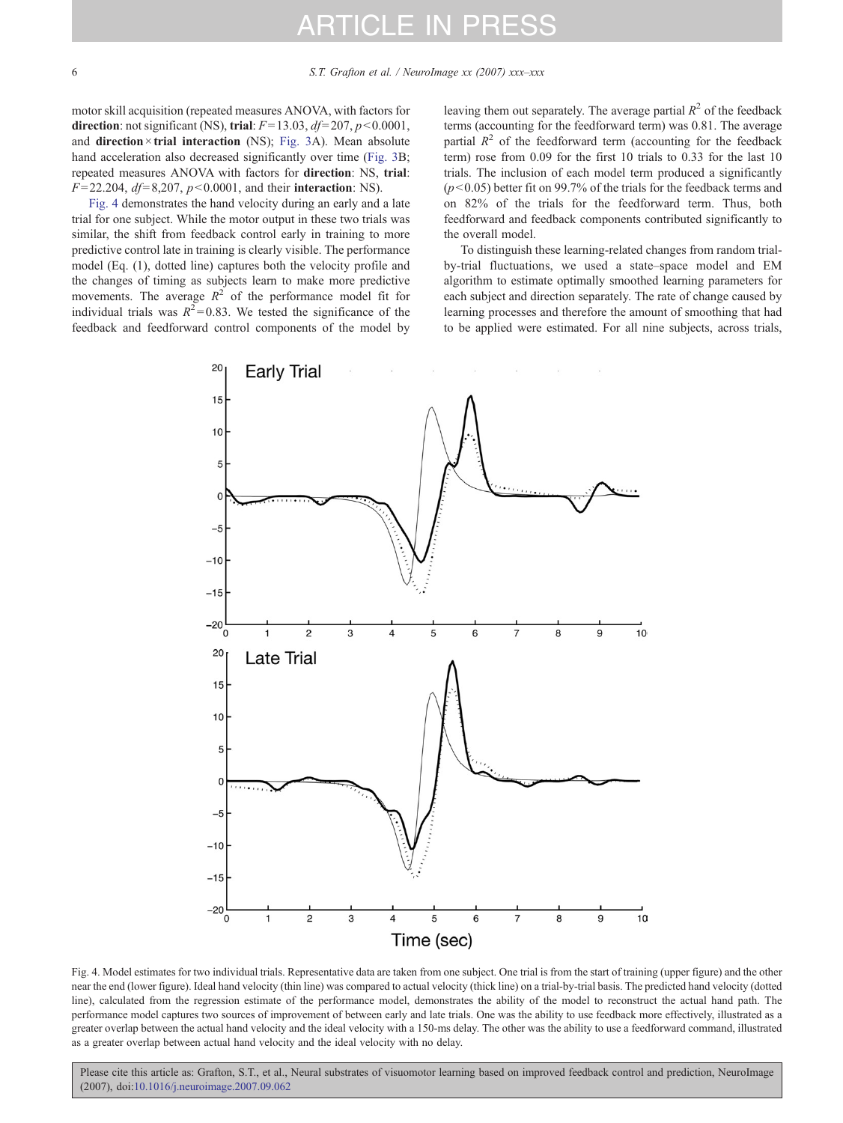motor skill acquisition (repeated measures ANOVA, with factors for direction: not significant (NS), trial:  $F=13.03$ ,  $df=207$ ,  $p<0.0001$ , and direction $\times$ trial interaction (NS); [Fig. 3](#page-4-0)A). Mean absolute hand acceleration also decreased significantly over time ([Fig. 3](#page-4-0)B; repeated measures ANOVA with factors for direction: NS, trial:  $F= 22.204$ ,  $df= 8,207$ ,  $p<0.0001$ , and their interaction: NS).

Fig. 4 demonstrates the hand velocity during an early and a late trial for one subject. While the motor output in these two trials was similar, the shift from feedback control early in training to more predictive control late in training is clearly visible. The performance model (Eq. (1), dotted line) captures both the velocity profile and the changes of timing as subjects learn to make more predictive movements. The average  $R^2$  of the performance model fit for individual trials was  $R^2$ =0.83. We tested the significance of the feedback and feedforward control components of the model by leaving them out separately. The average partial  $R^2$  of the feedback terms (accounting for the feedforward term) was 0.81. The average partial  $R^2$  of the feedforward term (accounting for the feedback term) rose from 0.09 for the first 10 trials to 0.33 for the last 10 trials. The inclusion of each model term produced a significantly  $(p<0.05)$  better fit on 99.7% of the trials for the feedback terms and on 82% of the trials for the feedforward term. Thus, both feedforward and feedback components contributed significantly to the overall model.

To distinguish these learning-related changes from random trialby-trial fluctuations, we used a state–space model and EM algorithm to estimate optimally smoothed learning parameters for each subject and direction separately. The rate of change caused by learning processes and therefore the amount of smoothing that had to be applied were estimated. For all nine subjects, across trials,



Fig. 4. Model estimates for two individual trials. Representative data are taken from one subject. One trial is from the start of training (upper figure) and the other near the end (lower figure). Ideal hand velocity (thin line) was compared to actual velocity (thick line) on a trial-by-trial basis. The predicted hand velocity (dotted line), calculated from the regression estimate of the performance model, demonstrates the ability of the model to reconstruct the actual hand path. The performance model captures two sources of improvement of between early and late trials. One was the ability to use feedback more effectively, illustrated as a greater overlap between the actual hand velocity and the ideal velocity with a 150-ms delay. The other was the ability to use a feedforward command, illustrated as a greater overlap between actual hand velocity and the ideal velocity with no delay.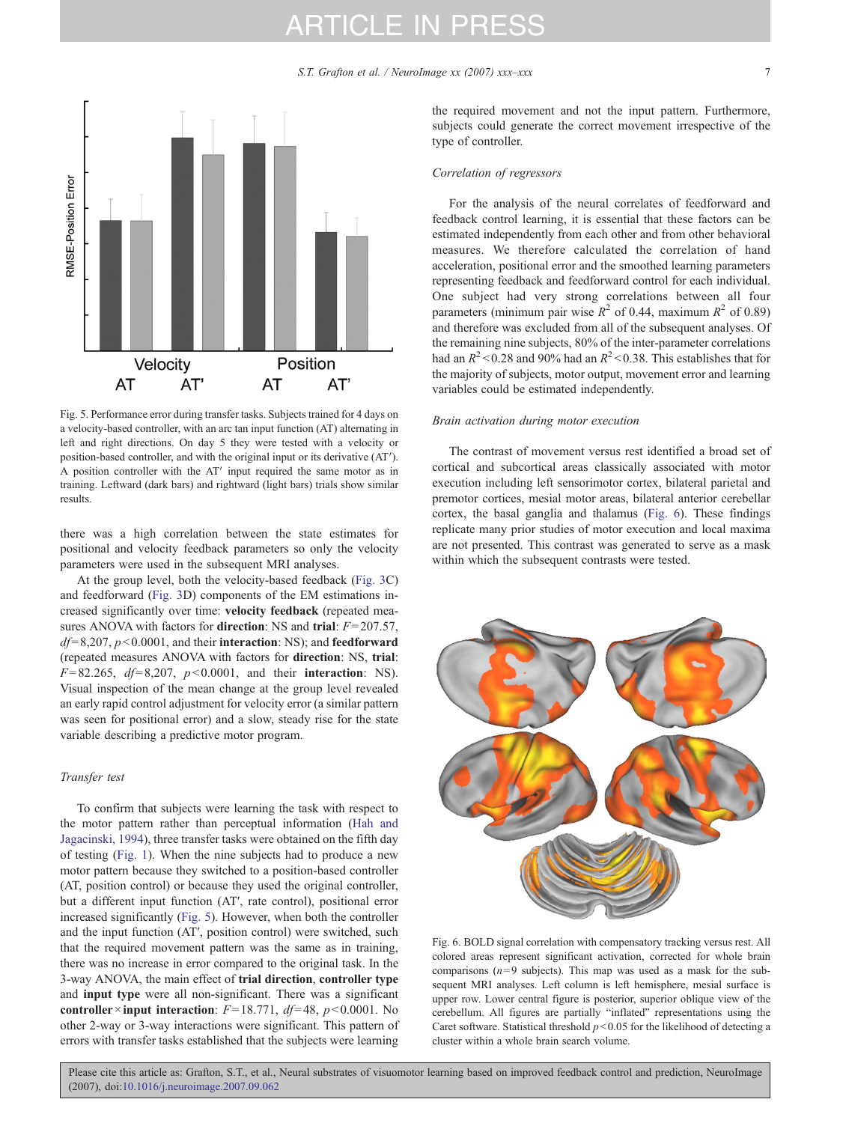<span id="page-6-0"></span>

Fig. 5. Performance error during transfer tasks. Subjects trained for 4 days on a velocity-based controller, with an arc tan input function (AT) alternating in left and right directions. On day 5 they were tested with a velocity or position-based controller, and with the original input or its derivative (AT′). A position controller with the AT′ input required the same motor as in training. Leftward (dark bars) and rightward (light bars) trials show similar results.

there was a high correlation between the state estimates for positional and velocity feedback parameters so only the velocity parameters were used in the subsequent MRI analyses.

At the group level, both the velocity-based feedback [\(Fig. 3C](#page-4-0)) and feedforward ([Fig. 3](#page-4-0)D) components of the EM estimations increased significantly over time: velocity feedback (repeated measures ANOVA with factors for **direction**: NS and **trial**:  $F=207.57$ ,  $df= 8,207, p<0.0001$ , and their interaction: NS); and feedforward (repeated measures ANOVA with factors for direction: NS, trial:  $F= 82.265$ ,  $df= 8,207$ ,  $p<0.0001$ , and their interaction: NS). Visual inspection of the mean change at the group level revealed an early rapid control adjustment for velocity error (a similar pattern was seen for positional error) and a slow, steady rise for the state variable describing a predictive motor program.

#### Transfer test

To confirm that subjects were learning the task with respect to the motor pattern rather than perceptual information [\(Hah and](#page-11-0) [Jagacinski, 1994\)](#page-11-0), three transfer tasks were obtained on the fifth day of testing ([Fig. 1\)](#page-2-0). When the nine subjects had to produce a new motor pattern because they switched to a position-based controller (AT, position control) or because they used the original controller, but a different input function (AT′, rate control), positional error increased significantly (Fig. 5). However, when both the controller and the input function (AT′, position control) were switched, such that the required movement pattern was the same as in training, there was no increase in error compared to the original task. In the 3-way ANOVA, the main effect of trial direction, controller type and input type were all non-significant. There was a significant controller×input interaction:  $F= 18.771$ ,  $df= 48$ ,  $p<0.0001$ . No other 2-way or 3-way interactions were significant. This pattern of errors with transfer tasks established that the subjects were learning

the required movement and not the input pattern. Furthermore, subjects could generate the correct movement irrespective of the type of controller.

#### Correlation of regressors

For the analysis of the neural correlates of feedforward and feedback control learning, it is essential that these factors can be estimated independently from each other and from other behavioral measures. We therefore calculated the correlation of hand acceleration, positional error and the smoothed learning parameters representing feedback and feedforward control for each individual. One subject had very strong correlations between all four parameters (minimum pair wise  $R^2$  of 0.44, maximum  $R^2$  of 0.89) and therefore was excluded from all of the subsequent analyses. Of the remaining nine subjects, 80% of the inter-parameter correlations had an  $R^2$  < 0.28 and 90% had an  $R^2$  < 0.38. This establishes that for the majority of subjects, motor output, movement error and learning variables could be estimated independently.

#### Brain activation during motor execution

The contrast of movement versus rest identified a broad set of cortical and subcortical areas classically associated with motor execution including left sensorimotor cortex, bilateral parietal and premotor cortices, mesial motor areas, bilateral anterior cerebellar cortex, the basal ganglia and thalamus (Fig. 6). These findings replicate many prior studies of motor execution and local maxima are not presented. This contrast was generated to serve as a mask within which the subsequent contrasts were tested.



Fig. 6. BOLD signal correlation with compensatory tracking versus rest. All colored areas represent significant activation, corrected for whole brain comparisons ( $n=9$  subjects). This map was used as a mask for the subsequent MRI analyses. Left column is left hemisphere, mesial surface is upper row. Lower central figure is posterior, superior oblique view of the cerebellum. All figures are partially "inflated" representations using the Caret software. Statistical threshold  $p<0.05$  for the likelihood of detecting a cluster within a whole brain search volume.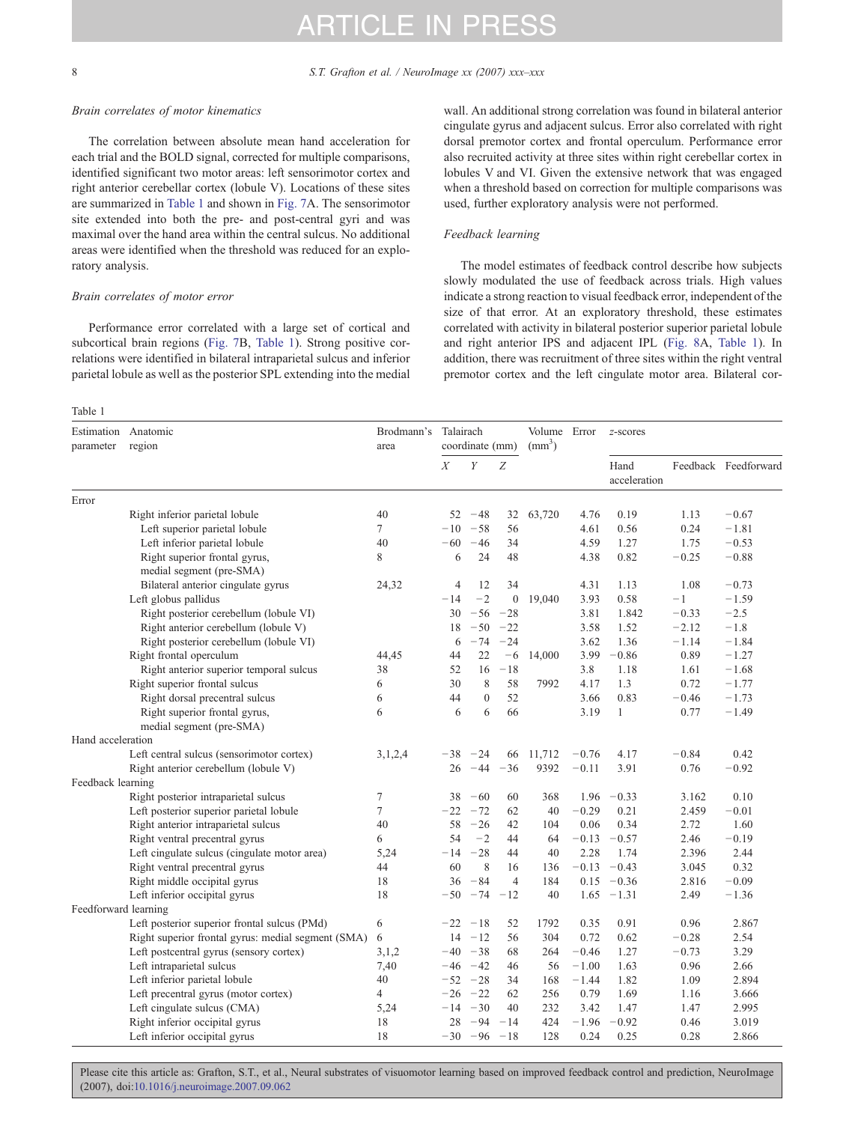#### <span id="page-7-0"></span>Brain correlates of motor kinematics

The correlation between absolute mean hand acceleration for each trial and the BOLD signal, corrected for multiple comparisons, identified significant two motor areas: left sensorimotor cortex and right anterior cerebellar cortex (lobule V). Locations of these sites are summarized in Table 1 and shown in [Fig. 7A](#page-8-0). The sensorimotor site extended into both the pre- and post-central gyri and was maximal over the hand area within the central sulcus. No additional areas were identified when the threshold was reduced for an exploratory analysis.

#### Brain correlates of motor error

Performance error correlated with a large set of cortical and subcortical brain regions [\(Fig. 7](#page-8-0)B, Table 1). Strong positive correlations were identified in bilateral intraparietal sulcus and inferior parietal lobule as well as the posterior SPL extending into the medial

### $T = 1.1 - 1$

wall. An additional strong correlation was found in bilateral anterior cingulate gyrus and adjacent sulcus. Error also correlated with right dorsal premotor cortex and frontal operculum. Performance error also recruited activity at three sites within right cerebellar cortex in lobules V and VI. Given the extensive network that was engaged when a threshold based on correction for multiple comparisons was used, further exploratory analysis were not performed.

#### Feedback learning

The model estimates of feedback control describe how subjects slowly modulated the use of feedback across trials. High values indicate a strong reaction to visual feedback error, independent of the size of that error. At an exploratory threshold, these estimates correlated with activity in bilateral posterior superior parietal lobule and right anterior IPS and adjacent IPL ([Fig. 8A](#page-8-0), Table 1). In addition, there was recruitment of three sites within the right ventral premotor cortex and the left cingulate motor area. Bilateral cor-

| Estimation Anatomic<br>parameter | region                                                    | Brodmann's<br>area | Talairach<br>coordinate (mm) |                  |                  | Volume Error<br>$\text{mm}^3$ ) |         | z-scores             |         |                      |
|----------------------------------|-----------------------------------------------------------|--------------------|------------------------------|------------------|------------------|---------------------------------|---------|----------------------|---------|----------------------|
|                                  |                                                           |                    | $\boldsymbol{X}$             | $\boldsymbol{Y}$ | $\boldsymbol{Z}$ |                                 |         | Hand<br>acceleration |         | Feedback Feedforward |
| Error                            |                                                           |                    |                              |                  |                  |                                 |         |                      |         |                      |
|                                  | Right inferior parietal lobule                            | 40                 | 52                           | $-48$            |                  | 32 63,720                       | 4.76    | 0.19                 | 1.13    | $-0.67$              |
|                                  | Left superior parietal lobule                             | 7                  | $-10$                        | $-58$            | 56               |                                 | 4.61    | 0.56                 | 0.24    | $-1.81$              |
|                                  | Left inferior parietal lobule                             | 40                 | $-60$                        | $-46$            | 34               |                                 | 4.59    | 1.27                 | 1.75    | $-0.53$              |
|                                  | Right superior frontal gyrus,                             | 8                  | 6                            | 24               | 48               |                                 | 4.38    | 0.82                 | $-0.25$ | $-0.88$              |
|                                  | medial segment (pre-SMA)                                  |                    |                              |                  |                  |                                 |         |                      |         |                      |
|                                  | Bilateral anterior cingulate gyrus                        | 24,32              | $\overline{4}$               | 12               | 34               |                                 | 4.31    | 1.13                 | 1.08    | $-0.73$              |
|                                  | Left globus pallidus                                      |                    | $-14$                        | $-2$             | $\mathbf{0}$     | 19,040                          | 3.93    | 0.58                 | $-1$    | $-1.59$              |
|                                  | Right posterior cerebellum (lobule VI)                    |                    | 30                           | $-56$            | $-28$            |                                 | 3.81    | 1.842                | $-0.33$ | $-2.5$               |
|                                  | Right anterior cerebellum (lobule V)                      |                    | 18                           | $-50$            | $-22$            |                                 | 3.58    | 1.52                 | $-2.12$ | $-1.8$               |
|                                  | Right posterior cerebellum (lobule VI)                    |                    | 6                            | $-74$            | $-24$            |                                 | 3.62    | 1.36                 | $-1.14$ | $-1.84$              |
|                                  | Right frontal operculum                                   | 44,45              | 44                           | 22               | $-6$             | 14,000                          | 3.99    | $-0.86$              | 0.89    | $-1.27$              |
|                                  | Right anterior superior temporal sulcus                   | 38                 | 52                           | 16               | $-18$            |                                 | 3.8     | 1.18                 | 1.61    | $-1.68$              |
|                                  | Right superior frontal sulcus                             | 6                  | 30                           | 8                | 58               | 7992                            | 4.17    | 1.3                  | 0.72    | $-1.77$              |
|                                  | Right dorsal precentral sulcus                            | 6                  | 44                           | $\mathbf{0}$     | 52               |                                 | 3.66    | 0.83                 | $-0.46$ | $-1.73$              |
|                                  | Right superior frontal gyrus,<br>medial segment (pre-SMA) | 6                  | 6                            | 6                | 66               |                                 | 3.19    | $\mathbf{1}$         | 0.77    | $-1.49$              |
| Hand acceleration                |                                                           |                    |                              |                  |                  |                                 |         |                      |         |                      |
|                                  | Left central sulcus (sensorimotor cortex)                 | 3,1,2,4            | $-38$                        | $-24$            | 66               | 11,712                          | $-0.76$ | 4.17                 | $-0.84$ | 0.42                 |
|                                  | Right anterior cerebellum (lobule V)                      |                    | 26                           | $-44$            | $-36$            | 9392                            | $-0.11$ | 3.91                 | 0.76    | $-0.92$              |
| Feedback learning                |                                                           |                    |                              |                  |                  |                                 |         |                      |         |                      |
|                                  | Right posterior intraparietal sulcus                      | 7                  | 38                           | $-60$            | 60               | 368                             | 1.96    | $-0.33$              | 3.162   | 0.10                 |
|                                  | Left posterior superior parietal lobule                   | 7                  | $-22$                        | $-72$            | 62               | 40                              | $-0.29$ | 0.21                 | 2.459   | $-0.01$              |
|                                  | Right anterior intraparietal sulcus                       | 40                 | 58                           | $-26$            | 42               | 104                             | 0.06    | 0.34                 | 2.72    | 1.60                 |
|                                  | Right ventral precentral gyrus                            | 6                  | 54                           | $-2$             | 44               | 64                              | $-0.13$ | $-0.57$              | 2.46    | $-0.19$              |
|                                  | Left cingulate sulcus (cingulate motor area)              | 5,24               | $-14$                        | $-28$            | 44               | 40                              | 2.28    | 1.74                 | 2.396   | 2.44                 |
|                                  | Right ventral precentral gyrus                            | 44                 | 60                           | 8                | 16               | 136                             | $-0.13$ | $-0.43$              | 3.045   | 0.32                 |
|                                  | Right middle occipital gyrus                              | 18                 | 36                           | $-84$            | $\overline{4}$   | 184                             |         | $0.15 - 0.36$        | 2.816   | $-0.09$              |
|                                  | Left inferior occipital gyrus                             | 18                 |                              | $-50 - 74$       | $-12$            | 40                              |         | $1.65 - 1.31$        | 2.49    | $-1.36$              |
| Feedforward learning             |                                                           |                    |                              |                  |                  |                                 |         |                      |         |                      |
|                                  | Left posterior superior frontal sulcus (PMd)              | 6                  |                              | $-22 - 18$       | 52               | 1792                            | 0.35    | 0.91                 | 0.96    | 2.867                |
|                                  | Right superior frontal gyrus: medial segment (SMA)        | 6                  |                              | $14 - 12$        | 56               | 304                             | 0.72    | 0.62                 | $-0.28$ | 2.54                 |
|                                  | Left postcentral gyrus (sensory cortex)                   | 3,1,2              |                              | $-40 -38$        | 68               | 264                             | $-0.46$ | 1.27                 | $-0.73$ | 3.29                 |
|                                  | Left intraparietal sulcus                                 | 7,40               |                              | $-46 -42$        | 46               | 56                              | $-1.00$ | 1.63                 | 0.96    | 2.66                 |
|                                  | Left inferior parietal lobule                             | 40                 |                              | $-52 -28$        | 34               | 168                             | $-1.44$ | 1.82                 | 1.09    | 2.894                |
|                                  | Left precentral gyrus (motor cortex)                      | $\overline{4}$     | $-26$                        | $-22$            | 62               | 256                             | 0.79    | 1.69                 | 1.16    | 3.666                |
|                                  | Left cingulate sulcus (CMA)                               | 5,24               |                              | $-14 - 30$       | 40               | 232                             | 3.42    | 1.47                 | 1.47    | 2.995                |
|                                  | Right inferior occipital gyrus                            | 18                 | 28                           | $-94$            | $-14$            | 424                             | $-1.96$ | $-0.92$              | 0.46    | 3.019                |
|                                  | Left inferior occipital gyrus                             | 18                 |                              | $-30 -96 -18$    |                  | 128                             | 0.24    | 0.25                 | 0.28    | 2.866                |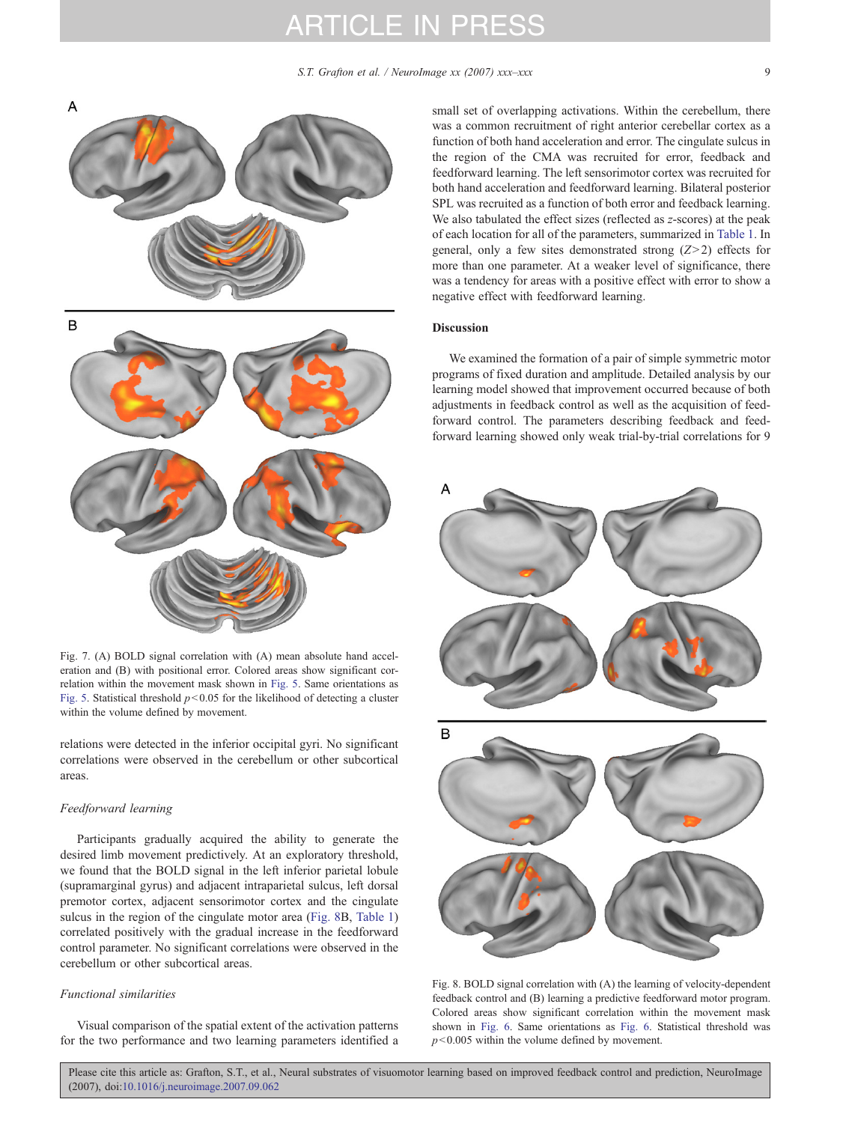S.T. Grafton et al. / NeuroImage xx (2007) xxx–xxx 9

<span id="page-8-0"></span>

Fig. 7. (A) BOLD signal correlation with (A) mean absolute hand acceleration and (B) with positional error. Colored areas show significant correlation within the movement mask shown in [Fig. 5.](#page-6-0) Same orientations as [Fig. 5](#page-6-0). Statistical threshold  $p<0.05$  for the likelihood of detecting a cluster within the volume defined by movement.

relations were detected in the inferior occipital gyri. No significant correlations were observed in the cerebellum or other subcortical areas.

#### Feedforward learning

Participants gradually acquired the ability to generate the desired limb movement predictively. At an exploratory threshold, we found that the BOLD signal in the left inferior parietal lobule (supramarginal gyrus) and adjacent intraparietal sulcus, left dorsal premotor cortex, adjacent sensorimotor cortex and the cingulate sulcus in the region of the cingulate motor area (Fig. 8B, [Table 1\)](#page-7-0) correlated positively with the gradual increase in the feedforward control parameter. No significant correlations were observed in the cerebellum or other subcortical areas.

#### Functional similarities

Visual comparison of the spatial extent of the activation patterns for the two performance and two learning parameters identified a small set of overlapping activations. Within the cerebellum, there was a common recruitment of right anterior cerebellar cortex as a function of both hand acceleration and error. The cingulate sulcus in the region of the CMA was recruited for error, feedback and feedforward learning. The left sensorimotor cortex was recruited for both hand acceleration and feedforward learning. Bilateral posterior SPL was recruited as a function of both error and feedback learning. We also tabulated the effect sizes (reflected as z-scores) at the peak of each location for all of the parameters, summarized in [Table 1.](#page-7-0) In general, only a few sites demonstrated strong  $(Z>2)$  effects for more than one parameter. At a weaker level of significance, there was a tendency for areas with a positive effect with error to show a negative effect with feedforward learning.

#### Discussion

We examined the formation of a pair of simple symmetric motor programs of fixed duration and amplitude. Detailed analysis by our learning model showed that improvement occurred because of both adjustments in feedback control as well as the acquisition of feedforward control. The parameters describing feedback and feedforward learning showed only weak trial-by-trial correlations for 9



Fig. 8. BOLD signal correlation with (A) the learning of velocity-dependent feedback control and (B) learning a predictive feedforward motor program. Colored areas show significant correlation within the movement mask shown in [Fig. 6](#page-6-0). Same orientations as [Fig. 6.](#page-6-0) Statistical threshold was  $p<0.005$  within the volume defined by movement.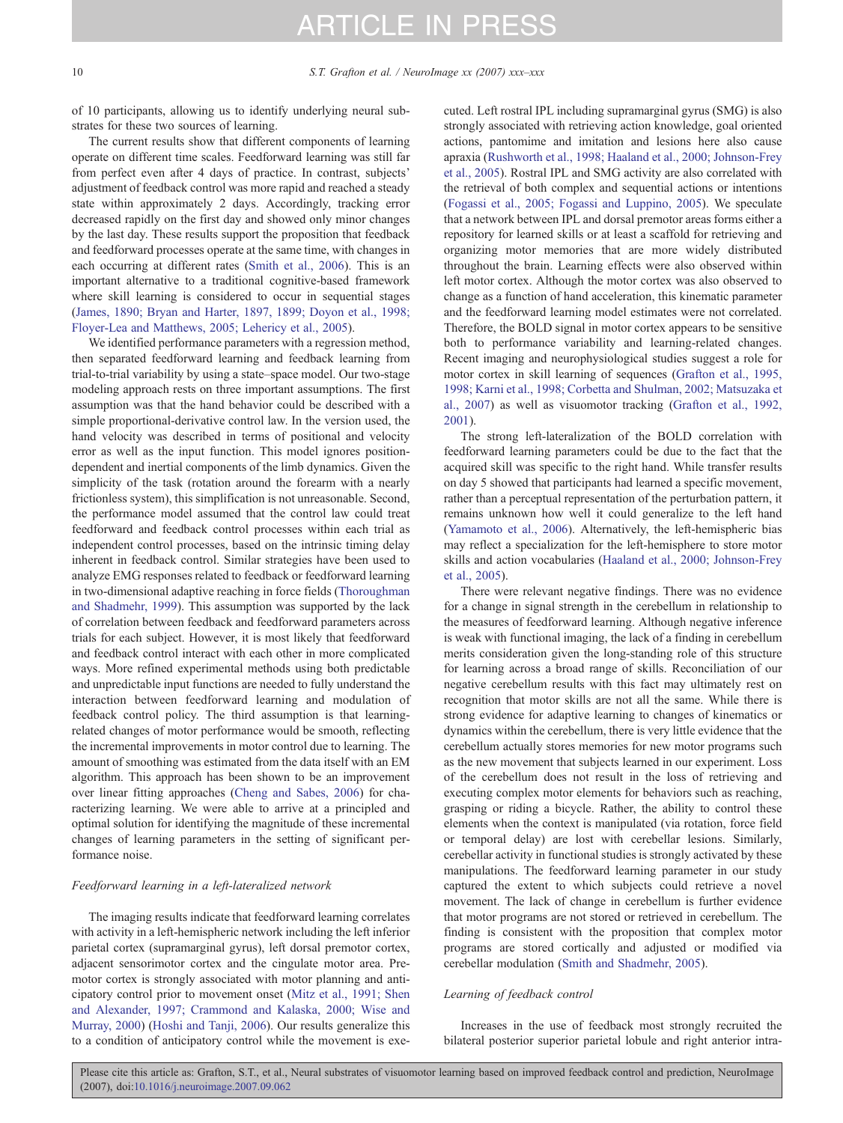of 10 participants, allowing us to identify underlying neural substrates for these two sources of learning.

The current results show that different components of learning operate on different time scales. Feedforward learning was still far from perfect even after 4 days of practice. In contrast, subjects' adjustment of feedback control was more rapid and reached a steady state within approximately 2 days. Accordingly, tracking error decreased rapidly on the first day and showed only minor changes by the last day. These results support the proposition that feedback and feedforward processes operate at the same time, with changes in each occurring at different rates ([Smith et al., 2006](#page-12-0)). This is an important alternative to a traditional cognitive-based framework where skill learning is considered to occur in sequential stages ([James, 1890; Bryan and Harter, 1897, 1899; Doyon et al., 1998;](#page-11-0) [Floyer-Lea and Matthews, 2005; Lehericy et al., 2005\)](#page-11-0).

We identified performance parameters with a regression method, then separated feedforward learning and feedback learning from trial-to-trial variability by using a state–space model. Our two-stage modeling approach rests on three important assumptions. The first assumption was that the hand behavior could be described with a simple proportional-derivative control law. In the version used, the hand velocity was described in terms of positional and velocity error as well as the input function. This model ignores positiondependent and inertial components of the limb dynamics. Given the simplicity of the task (rotation around the forearm with a nearly frictionless system), this simplification is not unreasonable. Second, the performance model assumed that the control law could treat feedforward and feedback control processes within each trial as independent control processes, based on the intrinsic timing delay inherent in feedback control. Similar strategies have been used to analyze EMG responses related to feedback or feedforward learning in two-dimensional adaptive reaching in force fields [\(Thoroughman](#page-12-0) [and Shadmehr, 1999](#page-12-0)). This assumption was supported by the lack of correlation between feedback and feedforward parameters across trials for each subject. However, it is most likely that feedforward and feedback control interact with each other in more complicated ways. More refined experimental methods using both predictable and unpredictable input functions are needed to fully understand the interaction between feedforward learning and modulation of feedback control policy. The third assumption is that learningrelated changes of motor performance would be smooth, reflecting the incremental improvements in motor control due to learning. The amount of smoothing was estimated from the data itself with an EM algorithm. This approach has been shown to be an improvement over linear fitting approaches ([Cheng and Sabes, 2006](#page-10-0)) for characterizing learning. We were able to arrive at a principled and optimal solution for identifying the magnitude of these incremental changes of learning parameters in the setting of significant performance noise.

#### Feedforward learning in a left-lateralized network

The imaging results indicate that feedforward learning correlates with activity in a left-hemispheric network including the left inferior parietal cortex (supramarginal gyrus), left dorsal premotor cortex, adjacent sensorimotor cortex and the cingulate motor area. Premotor cortex is strongly associated with motor planning and anticipatory control prior to movement onset ([Mitz et al., 1991; Shen](#page-11-0) [and Alexander, 1997; Crammond and Kalaska, 2000; Wise and](#page-11-0) [Murray, 2000\)](#page-11-0) ([Hoshi and Tanji, 2006](#page-11-0)). Our results generalize this to a condition of anticipatory control while the movement is executed. Left rostral IPL including supramarginal gyrus (SMG) is also strongly associated with retrieving action knowledge, goal oriented actions, pantomime and imitation and lesions here also cause apraxia ([Rushworth et al., 1998; Haaland et al., 2000; Johnson-Frey](#page-11-0) [et al., 2005](#page-11-0)). Rostral IPL and SMG activity are also correlated with the retrieval of both complex and sequential actions or intentions ([Fogassi et al., 2005; Fogassi and Luppino, 2005](#page-11-0)). We speculate that a network between IPL and dorsal premotor areas forms either a repository for learned skills or at least a scaffold for retrieving and organizing motor memories that are more widely distributed throughout the brain. Learning effects were also observed within left motor cortex. Although the motor cortex was also observed to change as a function of hand acceleration, this kinematic parameter and the feedforward learning model estimates were not correlated. Therefore, the BOLD signal in motor cortex appears to be sensitive both to performance variability and learning-related changes. Recent imaging and neurophysiological studies suggest a role for motor cortex in skill learning of sequences ([Grafton et al., 1995,](#page-11-0) [1998; Karni et al., 1998; Corbetta and Shulman, 2002; Matsuzaka et](#page-11-0) [al., 2007](#page-11-0)) as well as visuomotor tracking ([Grafton et al., 1992,](#page-11-0) [2001\)](#page-11-0).

The strong left-lateralization of the BOLD correlation with feedforward learning parameters could be due to the fact that the acquired skill was specific to the right hand. While transfer results on day 5 showed that participants had learned a specific movement, rather than a perceptual representation of the perturbation pattern, it remains unknown how well it could generalize to the left hand ([Yamamoto et al., 2006](#page-12-0)). Alternatively, the left-hemispheric bias may reflect a specialization for the left-hemisphere to store motor skills and action vocabularies ([Haaland et al., 2000; Johnson-Frey](#page-11-0) [et al., 2005](#page-11-0)).

There were relevant negative findings. There was no evidence for a change in signal strength in the cerebellum in relationship to the measures of feedforward learning. Although negative inference is weak with functional imaging, the lack of a finding in cerebellum merits consideration given the long-standing role of this structure for learning across a broad range of skills. Reconciliation of our negative cerebellum results with this fact may ultimately rest on recognition that motor skills are not all the same. While there is strong evidence for adaptive learning to changes of kinematics or dynamics within the cerebellum, there is very little evidence that the cerebellum actually stores memories for new motor programs such as the new movement that subjects learned in our experiment. Loss of the cerebellum does not result in the loss of retrieving and executing complex motor elements for behaviors such as reaching, grasping or riding a bicycle. Rather, the ability to control these elements when the context is manipulated (via rotation, force field or temporal delay) are lost with cerebellar lesions. Similarly, cerebellar activity in functional studies is strongly activated by these manipulations. The feedforward learning parameter in our study captured the extent to which subjects could retrieve a novel movement. The lack of change in cerebellum is further evidence that motor programs are not stored or retrieved in cerebellum. The finding is consistent with the proposition that complex motor programs are stored cortically and adjusted or modified via cerebellar modulation [\(Smith and Shadmehr, 2005](#page-12-0)).

#### Learning of feedback control

Increases in the use of feedback most strongly recruited the bilateral posterior superior parietal lobule and right anterior intra-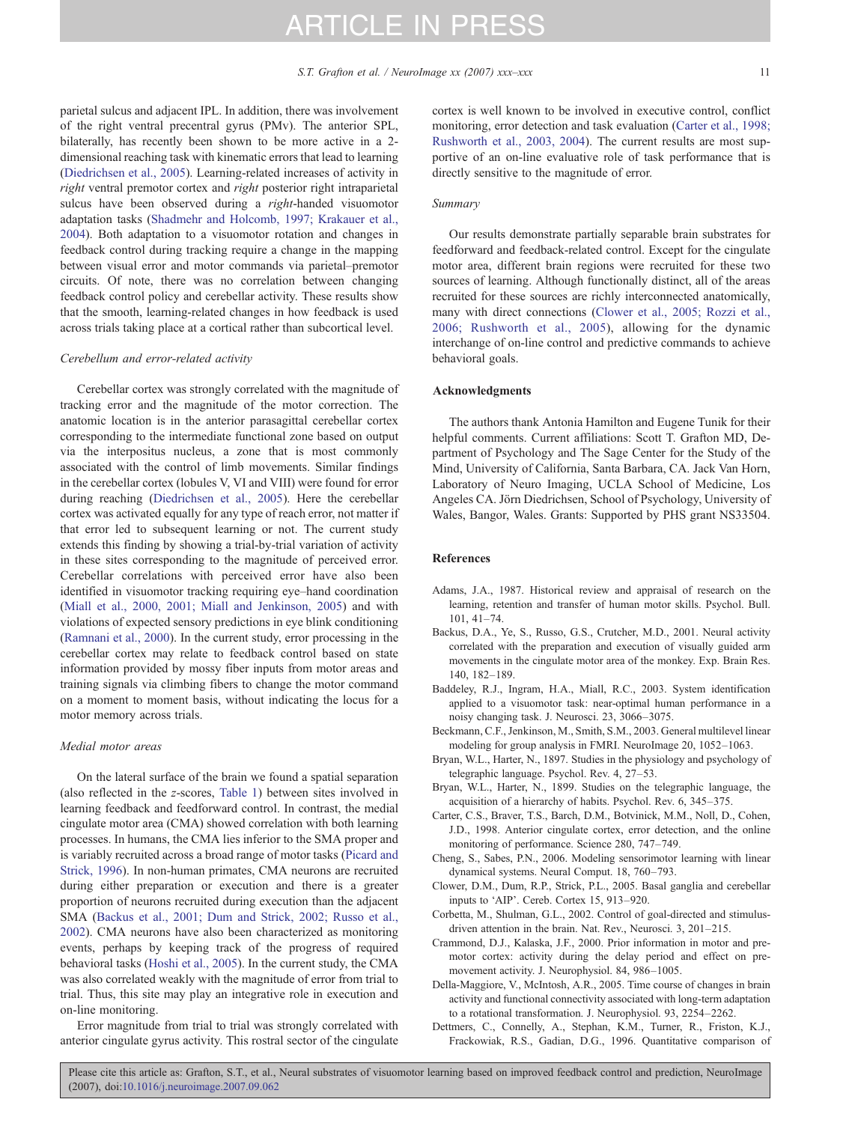# S.T. Grafton et al. / NeuroImage xx (2007) xxx–xxx 11

ARTICLE IN PRESS

<span id="page-10-0"></span>parietal sulcus and adjacent IPL. In addition, there was involvement of the right ventral precentral gyrus (PMv). The anterior SPL, bilaterally, has recently been shown to be more active in a 2 dimensional reaching task with kinematic errors that lead to learning [\(Diedrichsen et al., 2005](#page-11-0)). Learning-related increases of activity in right ventral premotor cortex and right posterior right intraparietal sulcus have been observed during a right-handed visuomotor adaptation tasks ([Shadmehr and Holcomb, 1997; Krakauer et al.,](#page-12-0) [2004](#page-12-0)). Both adaptation to a visuomotor rotation and changes in feedback control during tracking require a change in the mapping between visual error and motor commands via parietal–premotor circuits. Of note, there was no correlation between changing feedback control policy and cerebellar activity. These results show that the smooth, learning-related changes in how feedback is used across trials taking place at a cortical rather than subcortical level.

#### Cerebellum and error-related activity

Cerebellar cortex was strongly correlated with the magnitude of tracking error and the magnitude of the motor correction. The anatomic location is in the anterior parasagittal cerebellar cortex corresponding to the intermediate functional zone based on output via the interpositus nucleus, a zone that is most commonly associated with the control of limb movements. Similar findings in the cerebellar cortex (lobules V, VI and VIII) were found for error during reaching [\(Diedrichsen et al., 2005](#page-11-0)). Here the cerebellar cortex was activated equally for any type of reach error, not matter if that error led to subsequent learning or not. The current study extends this finding by showing a trial-by-trial variation of activity in these sites corresponding to the magnitude of perceived error. Cerebellar correlations with perceived error have also been identified in visuomotor tracking requiring eye–hand coordination [\(Miall et al., 2000, 2001; Miall and Jenkinson, 2005](#page-11-0)) and with violations of expected sensory predictions in eye blink conditioning [\(Ramnani et al., 2000\)](#page-11-0). In the current study, error processing in the cerebellar cortex may relate to feedback control based on state information provided by mossy fiber inputs from motor areas and training signals via climbing fibers to change the motor command on a moment to moment basis, without indicating the locus for a motor memory across trials.

#### Medial motor areas

On the lateral surface of the brain we found a spatial separation (also reflected in the z-scores, [Table 1](#page-7-0)) between sites involved in learning feedback and feedforward control. In contrast, the medial cingulate motor area (CMA) showed correlation with both learning processes. In humans, the CMA lies inferior to the SMA proper and is variably recruited across a broad range of motor tasks [\(Picard and](#page-11-0) [Strick, 1996](#page-11-0)). In non-human primates, CMA neurons are recruited during either preparation or execution and there is a greater proportion of neurons recruited during execution than the adjacent SMA (Backus et al., 2001; Dum and Strick, 2002; Russo et al., 2002). CMA neurons have also been characterized as monitoring events, perhaps by keeping track of the progress of required behavioral tasks ([Hoshi et al., 2005\)](#page-11-0). In the current study, the CMA was also correlated weakly with the magnitude of error from trial to trial. Thus, this site may play an integrative role in execution and on-line monitoring.

Error magnitude from trial to trial was strongly correlated with anterior cingulate gyrus activity. This rostral sector of the cingulate cortex is well known to be involved in executive control, conflict monitoring, error detection and task evaluation (Carter et al., 1998; Rushworth et al., 2003, 2004). The current results are most supportive of an on-line evaluative role of task performance that is directly sensitive to the magnitude of error.

#### Summary

Our results demonstrate partially separable brain substrates for feedforward and feedback-related control. Except for the cingulate motor area, different brain regions were recruited for these two sources of learning. Although functionally distinct, all of the areas recruited for these sources are richly interconnected anatomically, many with direct connections (Clower et al., 2005; Rozzi et al., 2006; Rushworth et al., 2005), allowing for the dynamic interchange of on-line control and predictive commands to achieve behavioral goals.

#### Acknowledgments

The authors thank Antonia Hamilton and Eugene Tunik for their helpful comments. Current affiliations: Scott T. Grafton MD, Department of Psychology and The Sage Center for the Study of the Mind, University of California, Santa Barbara, CA. Jack Van Horn, Laboratory of Neuro Imaging, UCLA School of Medicine, Los Angeles CA. Jörn Diedrichsen, School of Psychology, University of Wales, Bangor, Wales. Grants: Supported by PHS grant NS33504.

#### References

- Adams, J.A., 1987. Historical review and appraisal of research on the learning, retention and transfer of human motor skills. Psychol. Bull. 101, 41–74.
- Backus, D.A., Ye, S., Russo, G.S., Crutcher, M.D., 2001. Neural activity correlated with the preparation and execution of visually guided arm movements in the cingulate motor area of the monkey. Exp. Brain Res. 140, 182–189.
- Baddeley, R.J., Ingram, H.A., Miall, R.C., 2003. System identification applied to a visuomotor task: near-optimal human performance in a noisy changing task. J. Neurosci. 23, 3066–3075.
- Beckmann, C.F., Jenkinson, M., Smith, S.M., 2003. General multilevel linear modeling for group analysis in FMRI. NeuroImage 20, 1052–1063.
- Bryan, W.L., Harter, N., 1897. Studies in the physiology and psychology of telegraphic language. Psychol. Rev. 4, 27–53.
- Bryan, W.L., Harter, N., 1899. Studies on the telegraphic language, the acquisition of a hierarchy of habits. Psychol. Rev. 6, 345–375.
- Carter, C.S., Braver, T.S., Barch, D.M., Botvinick, M.M., Noll, D., Cohen, J.D., 1998. Anterior cingulate cortex, error detection, and the online monitoring of performance. Science 280, 747–749.
- Cheng, S., Sabes, P.N., 2006. Modeling sensorimotor learning with linear dynamical systems. Neural Comput. 18, 760–793.
- Clower, D.M., Dum, R.P., Strick, P.L., 2005. Basal ganglia and cerebellar inputs to 'AIP'. Cereb. Cortex 15, 913–920.
- Corbetta, M., Shulman, G.L., 2002. Control of goal-directed and stimulusdriven attention in the brain. Nat. Rev., Neurosci. 3, 201–215.
- Crammond, D.J., Kalaska, J.F., 2000. Prior information in motor and premotor cortex: activity during the delay period and effect on premovement activity. J. Neurophysiol. 84, 986–1005.
- Della-Maggiore, V., McIntosh, A.R., 2005. Time course of changes in brain activity and functional connectivity associated with long-term adaptation to a rotational transformation. J. Neurophysiol. 93, 2254–2262.
- Dettmers, C., Connelly, A., Stephan, K.M., Turner, R., Friston, K.J., Frackowiak, R.S., Gadian, D.G., 1996. Quantitative comparison of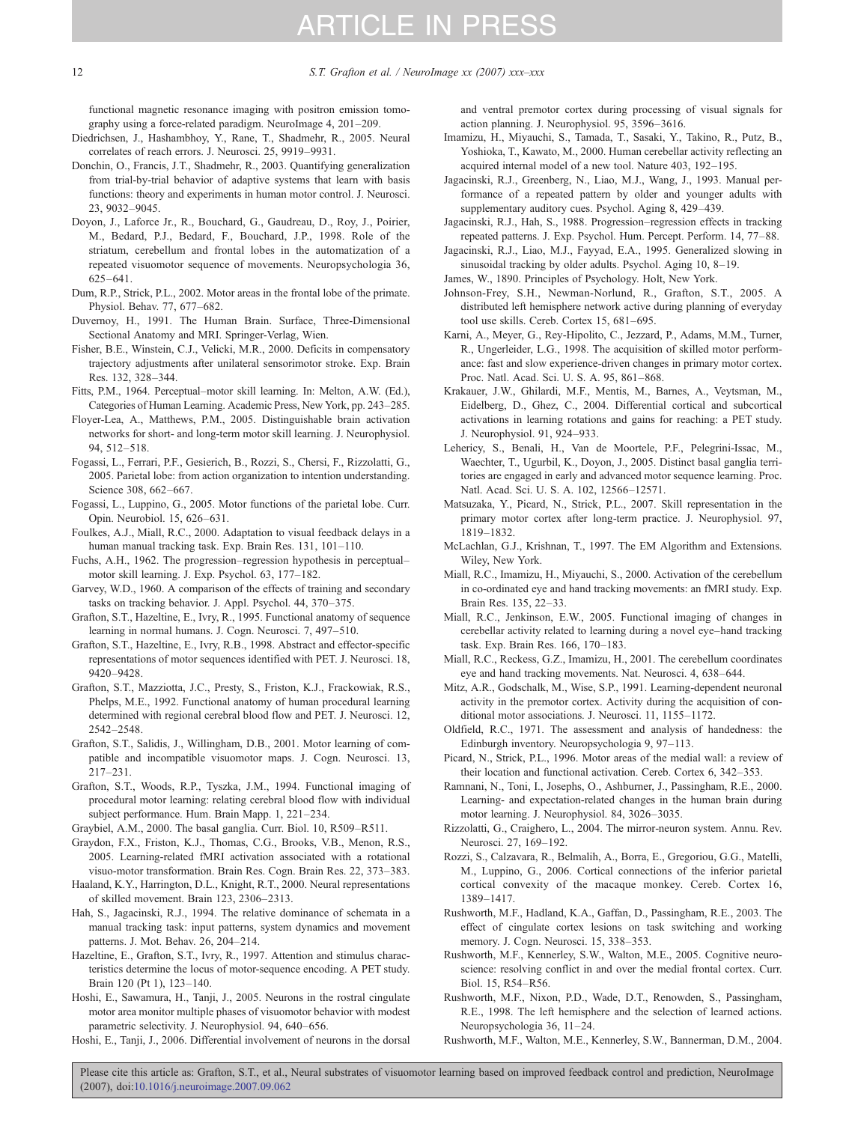<span id="page-11-0"></span>functional magnetic resonance imaging with positron emission tomography using a force-related paradigm. NeuroImage 4, 201–209.

- Diedrichsen, J., Hashambhoy, Y., Rane, T., Shadmehr, R., 2005. Neural correlates of reach errors. J. Neurosci. 25, 9919–9931.
- Donchin, O., Francis, J.T., Shadmehr, R., 2003. Quantifying generalization from trial-by-trial behavior of adaptive systems that learn with basis functions: theory and experiments in human motor control. J. Neurosci. 23, 9032–9045.
- Doyon, J., Laforce Jr., R., Bouchard, G., Gaudreau, D., Roy, J., Poirier, M., Bedard, P.J., Bedard, F., Bouchard, J.P., 1998. Role of the striatum, cerebellum and frontal lobes in the automatization of a repeated visuomotor sequence of movements. Neuropsychologia 36, 625–641.
- Dum, R.P., Strick, P.L., 2002. Motor areas in the frontal lobe of the primate. Physiol. Behav. 77, 677–682.
- Duvernoy, H., 1991. The Human Brain. Surface, Three-Dimensional Sectional Anatomy and MRI. Springer-Verlag, Wien.
- Fisher, B.E., Winstein, C.J., Velicki, M.R., 2000. Deficits in compensatory trajectory adjustments after unilateral sensorimotor stroke. Exp. Brain Res. 132, 328–344.
- Fitts, P.M., 1964. Perceptual–motor skill learning. In: Melton, A.W. (Ed.), Categories of Human Learning. Academic Press, New York, pp. 243–285.
- Floyer-Lea, A., Matthews, P.M., 2005. Distinguishable brain activation networks for short- and long-term motor skill learning. J. Neurophysiol. 94, 512–518.
- Fogassi, L., Ferrari, P.F., Gesierich, B., Rozzi, S., Chersi, F., Rizzolatti, G., 2005. Parietal lobe: from action organization to intention understanding. Science 308, 662–667.
- Fogassi, L., Luppino, G., 2005. Motor functions of the parietal lobe. Curr. Opin. Neurobiol. 15, 626–631.
- Foulkes, A.J., Miall, R.C., 2000. Adaptation to visual feedback delays in a human manual tracking task. Exp. Brain Res. 131, 101–110.
- Fuchs, A.H., 1962. The progression–regression hypothesis in perceptual– motor skill learning. J. Exp. Psychol. 63, 177–182.
- Garvey, W.D., 1960. A comparison of the effects of training and secondary tasks on tracking behavior. J. Appl. Psychol. 44, 370–375.
- Grafton, S.T., Hazeltine, E., Ivry, R., 1995. Functional anatomy of sequence learning in normal humans. J. Cogn. Neurosci. 7, 497–510.
- Grafton, S.T., Hazeltine, E., Ivry, R.B., 1998. Abstract and effector-specific representations of motor sequences identified with PET. J. Neurosci. 18, 9420–9428.
- Grafton, S.T., Mazziotta, J.C., Presty, S., Friston, K.J., Frackowiak, R.S., Phelps, M.E., 1992. Functional anatomy of human procedural learning determined with regional cerebral blood flow and PET. J. Neurosci. 12, 2542–2548.
- Grafton, S.T., Salidis, J., Willingham, D.B., 2001. Motor learning of compatible and incompatible visuomotor maps. J. Cogn. Neurosci. 13, 217–231.
- Grafton, S.T., Woods, R.P., Tyszka, J.M., 1994. Functional imaging of procedural motor learning: relating cerebral blood flow with individual subject performance. Hum. Brain Mapp. 1, 221–234.
- Graybiel, A.M., 2000. The basal ganglia. Curr. Biol. 10, R509–R511.
- Graydon, F.X., Friston, K.J., Thomas, C.G., Brooks, V.B., Menon, R.S., 2005. Learning-related fMRI activation associated with a rotational visuo-motor transformation. Brain Res. Cogn. Brain Res. 22, 373–383.
- Haaland, K.Y., Harrington, D.L., Knight, R.T., 2000. Neural representations of skilled movement. Brain 123, 2306–2313.
- Hah, S., Jagacinski, R.J., 1994. The relative dominance of schemata in a manual tracking task: input patterns, system dynamics and movement patterns. J. Mot. Behav. 26, 204–214.
- Hazeltine, E., Grafton, S.T., Ivry, R., 1997. Attention and stimulus characteristics determine the locus of motor-sequence encoding. A PET study. Brain 120 (Pt 1), 123–140.
- Hoshi, E., Sawamura, H., Tanji, J., 2005. Neurons in the rostral cingulate motor area monitor multiple phases of visuomotor behavior with modest parametric selectivity. J. Neurophysiol. 94, 640–656.

Hoshi, E., Tanji, J., 2006. Differential involvement of neurons in the dorsal

and ventral premotor cortex during processing of visual signals for action planning. J. Neurophysiol. 95, 3596–3616.

- Imamizu, H., Miyauchi, S., Tamada, T., Sasaki, Y., Takino, R., Putz, B., Yoshioka, T., Kawato, M., 2000. Human cerebellar activity reflecting an acquired internal model of a new tool. Nature 403, 192–195.
- Jagacinski, R.J., Greenberg, N., Liao, M.J., Wang, J., 1993. Manual performance of a repeated pattern by older and younger adults with supplementary auditory cues. Psychol. Aging 8, 429–439.
- Jagacinski, R.J., Hah, S., 1988. Progression–regression effects in tracking repeated patterns. J. Exp. Psychol. Hum. Percept. Perform. 14, 77–88.
- Jagacinski, R.J., Liao, M.J., Fayyad, E.A., 1995. Generalized slowing in sinusoidal tracking by older adults. Psychol. Aging 10, 8–19.
- James, W., 1890. Principles of Psychology. Holt, New York.
- Johnson-Frey, S.H., Newman-Norlund, R., Grafton, S.T., 2005. A distributed left hemisphere network active during planning of everyday tool use skills. Cereb. Cortex 15, 681–695.
- Karni, A., Meyer, G., Rey-Hipolito, C., Jezzard, P., Adams, M.M., Turner, R., Ungerleider, L.G., 1998. The acquisition of skilled motor performance: fast and slow experience-driven changes in primary motor cortex. Proc. Natl. Acad. Sci. U. S. A. 95, 861–868.
- Krakauer, J.W., Ghilardi, M.F., Mentis, M., Barnes, A., Veytsman, M., Eidelberg, D., Ghez, C., 2004. Differential cortical and subcortical activations in learning rotations and gains for reaching: a PET study. J. Neurophysiol. 91, 924–933.
- Lehericy, S., Benali, H., Van de Moortele, P.F., Pelegrini-Issac, M., Waechter, T., Ugurbil, K., Doyon, J., 2005. Distinct basal ganglia territories are engaged in early and advanced motor sequence learning. Proc. Natl. Acad. Sci. U. S. A. 102, 12566–12571.
- Matsuzaka, Y., Picard, N., Strick, P.L., 2007. Skill representation in the primary motor cortex after long-term practice. J. Neurophysiol. 97, 1819–1832.
- McLachlan, G.J., Krishnan, T., 1997. The EM Algorithm and Extensions. Wiley, New York.
- Miall, R.C., Imamizu, H., Miyauchi, S., 2000. Activation of the cerebellum in co-ordinated eye and hand tracking movements: an fMRI study. Exp. Brain Res. 135, 22–33.
- Miall, R.C., Jenkinson, E.W., 2005. Functional imaging of changes in cerebellar activity related to learning during a novel eye–hand tracking task. Exp. Brain Res. 166, 170–183.
- Miall, R.C., Reckess, G.Z., Imamizu, H., 2001. The cerebellum coordinates eye and hand tracking movements. Nat. Neurosci. 4, 638–644.
- Mitz, A.R., Godschalk, M., Wise, S.P., 1991. Learning-dependent neuronal activity in the premotor cortex. Activity during the acquisition of conditional motor associations. J. Neurosci. 11, 1155–1172.
- Oldfield, R.C., 1971. The assessment and analysis of handedness: the Edinburgh inventory. Neuropsychologia 9, 97–113.
- Picard, N., Strick, P.L., 1996. Motor areas of the medial wall: a review of their location and functional activation. Cereb. Cortex 6, 342–353.
- Ramnani, N., Toni, I., Josephs, O., Ashburner, J., Passingham, R.E., 2000. Learning- and expectation-related changes in the human brain during motor learning. J. Neurophysiol. 84, 3026–3035.
- Rizzolatti, G., Craighero, L., 2004. The mirror-neuron system. Annu. Rev. Neurosci. 27, 169–192.
- Rozzi, S., Calzavara, R., Belmalih, A., Borra, E., Gregoriou, G.G., Matelli, M., Luppino, G., 2006. Cortical connections of the inferior parietal cortical convexity of the macaque monkey. Cereb. Cortex 16, 1389–1417.
- Rushworth, M.F., Hadland, K.A., Gaffan, D., Passingham, R.E., 2003. The effect of cingulate cortex lesions on task switching and working memory. J. Cogn. Neurosci. 15, 338–353.
- Rushworth, M.F., Kennerley, S.W., Walton, M.E., 2005. Cognitive neuroscience: resolving conflict in and over the medial frontal cortex. Curr. Biol. 15, R54–R56.
- Rushworth, M.F., Nixon, P.D., Wade, D.T., Renowden, S., Passingham, R.E., 1998. The left hemisphere and the selection of learned actions. Neuropsychologia 36, 11–24.

Rushworth, M.F., Walton, M.E., Kennerley, S.W., Bannerman, D.M., 2004.